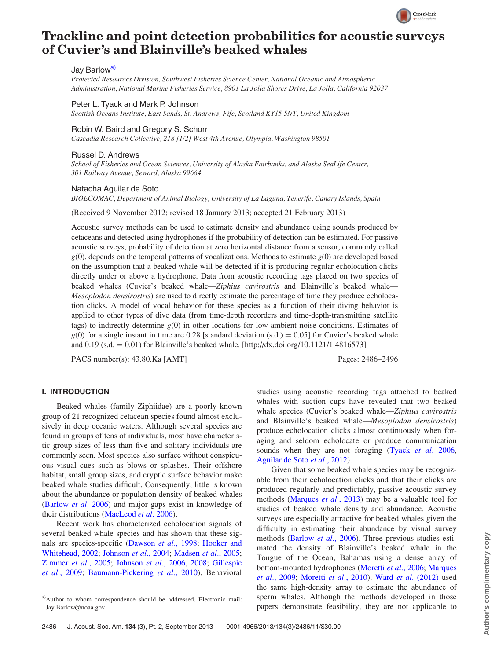

## Trackline and point detection probabilities for acoustic surveys of Cuvier's and Blainville's beaked whales

### Jay Barlow<sup>a)</sup>

Protected Resources Division, Southwest Fisheries Science Center, National Oceanic and Atmospheric Administration, National Marine Fisheries Service, 8901 La Jolla Shores Drive, La Jolla, California 92037

#### Peter L. Tyack and Mark P. Johnson

Scottish Oceans Institute, East Sands, St. Andrews, Fife, Scotland KY15 5NT, United Kingdom

#### Robin W. Baird and Gregory S. Schorr

Cascadia Research Collective, 218 [1/2] West 4th Avenue, Olympia, Washington 98501

#### Russel D. Andrews

School of Fisheries and Ocean Sciences, University of Alaska Fairbanks, and Alaska SeaLife Center, 301 Railway Avenue, Seward, Alaska 99664

#### Natacha Aguilar de Soto

BIOECOMAC, Department of Animal Biology, University of La Laguna, Tenerife, Canary Islands, Spain

(Received 9 November 2012; revised 18 January 2013; accepted 21 February 2013)

Acoustic survey methods can be used to estimate density and abundance using sounds produced by cetaceans and detected using hydrophones if the probability of detection can be estimated. For passive acoustic surveys, probability of detection at zero horizontal distance from a sensor, commonly called  $g(0)$ , depends on the temporal patterns of vocalizations. Methods to estimate  $g(0)$  are developed based on the assumption that a beaked whale will be detected if it is producing regular echolocation clicks directly under or above a hydrophone. Data from acoustic recording tags placed on two species of beaked whales (Cuvier's beaked whale—Ziphius cavirostris and Blainville's beaked whale— Mesoplodon densirostris) are used to directly estimate the percentage of time they produce echolocation clicks. A model of vocal behavior for these species as a function of their diving behavior is applied to other types of dive data (from time-depth recorders and time-depth-transmitting satellite tags) to indirectly determine  $g(0)$  in other locations for low ambient noise conditions. Estimates of  $g(0)$  for a single instant in time are 0.28 [standard deviation (s.d.) = 0.05] for Cuvier's beaked whale and 0.19 (s.d.  $= 0.01$ ) for Blainville's beaked whale. [http://dx.doi.org/10.1121/1.4816573]

PACS number(s): 43.80.Ka [AMT] Pages: 2486–2496

#### I. INTRODUCTION

Beaked whales (family Ziphiidae) are a poorly known group of 21 recognized cetacean species found almost exclusively in deep oceanic waters. Although several species are found in groups of tens of individuals, most have characteristic group sizes of less than five and solitary individuals are commonly seen. Most species also surface without conspicuous visual cues such as blows or splashes. Their offshore habitat, small group sizes, and cryptic surface behavior make beaked whale studies difficult. Consequently, little is known about the abundance or population density of beaked whales ([Barlow](#page-9-0) et al. 2006) and major gaps exist in knowledge of their distributions [\(MacLeod](#page-10-0) *et al.* 2006).

Recent work has characterized echolocation signals of several beaked whale species and has shown that these sig-nals are species-specific ([Dawson](#page-9-0) et al., 1998; [Hooker and](#page-10-0) [Whitehead, 2002;](#page-10-0) [Johnson](#page-10-0) et al., 2004; [Madsen](#page-10-0) et al., 2005; [Zimmer](#page-10-0) et al., 2005; [Johnson](#page-10-0) et al., 2006, [2008;](#page-10-0) [Gillespie](#page-9-0) et al.[, 2009;](#page-9-0) [Baumann-Pickering](#page-9-0) et al., 2010). Behavioral

studies using acoustic recording tags attached to beaked whales with suction cups have revealed that two beaked whale species (Cuvier's beaked whale—Ziphius cavirostris and Blainville's beaked whale—Mesoplodon densirostris) produce echolocation clicks almost continuously when foraging and seldom echolocate or produce communication sounds when they are not foraging [\(Tyack](#page-10-0) et al. 2006, [Aguilar de Soto](#page-9-0) et al., 2012).

Given that some beaked whale species may be recognizable from their echolocation clicks and that their clicks are produced regularly and predictably, passive acoustic survey methods [\(Marques](#page-10-0) et al., 2013) may be a valuable tool for studies of beaked whale density and abundance. Acoustic surveys are especially attractive for beaked whales given the difficulty in estimating their abundance by visual survey methods [\(Barlow](#page-9-0) et al., 2006). Three previous studies estimated the density of Blainville's beaked whale in the Tongue of the Ocean, Bahamas using a dense array of bottom-mounted hydrophones [\(Moretti](#page-10-0) et al., 2006; [Marques](#page-10-0) et al.[, 2009;](#page-10-0) [Moretti](#page-10-0) et al., 2010). Ward et al. [\(2012\)](#page-10-0) used the same high-density array to estimate the abundance of sperm whales. Although the methods developed in those papers demonstrate feasibility, they are not applicable to

a)Author to whom correspondence should be addressed. Electronic mail: [Jay.Barlow@noaa.gov](mailto:Jay.Barlow@noaa.gov)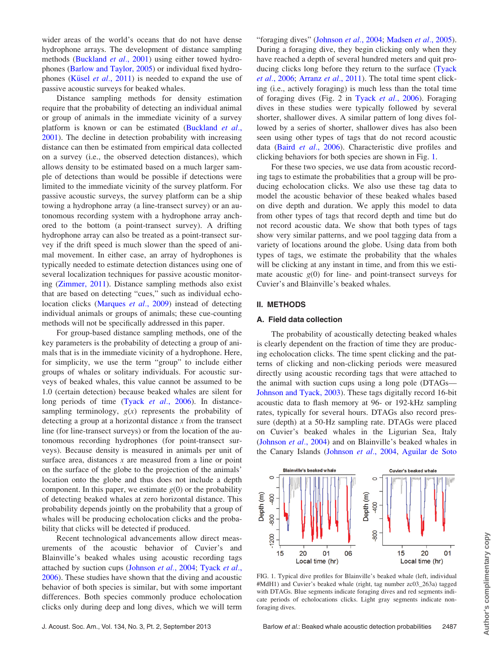<span id="page-1-0"></span>wider areas of the world's oceans that do not have dense hydrophone arrays. The development of distance sampling methods ([Buckland](#page-9-0) et al., 2001) using either towed hydrophones ([Barlow and Taylor, 2005](#page-9-0)) or individual fixed hydro-phones ([K](#page-10-0)üsel *et al.*[, 2011\)](#page-10-0) is needed to expand the use of passive acoustic surveys for beaked whales.

Distance sampling methods for density estimation require that the probability of detecting an individual animal or group of animals in the immediate vicinity of a survey platform is known or can be estimated [\(Buckland](#page-9-0) et al., [2001\)](#page-9-0). The decline in detection probability with increasing distance can then be estimated from empirical data collected on a survey (i.e., the observed detection distances), which allows density to be estimated based on a much larger sample of detections than would be possible if detections were limited to the immediate vicinity of the survey platform. For passive acoustic surveys, the survey platform can be a ship towing a hydrophone array (a line-transect survey) or an autonomous recording system with a hydrophone array anchored to the bottom (a point-transect survey). A drifting hydrophone array can also be treated as a point-transect survey if the drift speed is much slower than the speed of animal movement. In either case, an array of hydrophones is typically needed to estimate detection distances using one of several localization techniques for passive acoustic monitoring ([Zimmer, 2011](#page-10-0)). Distance sampling methods also exist that are based on detecting "cues," such as individual echo-location clicks [\(Marques](#page-10-0) et al., 2009) instead of detecting individual animals or groups of animals; these cue-counting methods will not be specifically addressed in this paper.

For group-based distance sampling methods, one of the key parameters is the probability of detecting a group of animals that is in the immediate vicinity of a hydrophone. Here, for simplicity, we use the term "group" to include either groups of whales or solitary individuals. For acoustic surveys of beaked whales, this value cannot be assumed to be 1.0 (certain detection) because beaked whales are silent for long periods of time (Tyack et al.[, 2006\)](#page-10-0). In distancesampling terminology,  $g(x)$  represents the probability of detecting a group at a horizontal distance  $x$  from the transect line (for line-transect surveys) or from the location of the autonomous recording hydrophones (for point-transect surveys). Because density is measured in animals per unit of surface area, distances  $x$  are measured from a line or point on the surface of the globe to the projection of the animals' location onto the globe and thus does not include a depth component. In this paper, we estimate  $g(0)$  or the probability of detecting beaked whales at zero horizontal distance. This probability depends jointly on the probability that a group of whales will be producing echolocation clicks and the probability that clicks will be detected if produced.

Recent technological advancements allow direct measurements of the acoustic behavior of Cuvier's and Blainville's beaked whales using acoustic recording tags attached by suction cups ([Johnson](#page-10-0) et al., 2004; [Tyack](#page-10-0) et al., [2006\)](#page-10-0). These studies have shown that the diving and acoustic behavior of both species is similar, but with some important differences. Both species commonly produce echolocation clicks only during deep and long dives, which we will term "foraging dives" ([Johnson](#page-10-0) et al., 2004; [Madsen](#page-10-0) et al., 2005). During a foraging dive, they begin clicking only when they have reached a depth of several hundred meters and quit producing clicks long before they return to the surface [\(Tyack](#page-10-0) et al.[, 2006](#page-10-0); [Arranz](#page-9-0) et al., 2011). The total time spent clicking (i.e., actively foraging) is much less than the total time of foraging dives (Fig. 2 in Tyack et al.[, 2006](#page-10-0)). Foraging dives in these studies were typically followed by several shorter, shallower dives. A similar pattern of long dives followed by a series of shorter, shallower dives has also been seen using other types of tags that do not record acoustic data (Baird et al.[, 2006](#page-9-0)). Characteristic dive profiles and clicking behaviors for both species are shown in Fig. 1.

For these two species, we use data from acoustic recording tags to estimate the probabilities that a group will be producing echolocation clicks. We also use these tag data to model the acoustic behavior of these beaked whales based on dive depth and duration. We apply this model to data from other types of tags that record depth and time but do not record acoustic data. We show that both types of tags show very similar patterns, and we pool tagging data from a variety of locations around the globe. Using data from both types of tags, we estimate the probability that the whales will be clicking at any instant in time, and from this we estimate acoustic  $g(0)$  for line- and point-transect surveys for Cuvier's and Blainville's beaked whales.

#### II. METHODS

#### A. Field data collection

The probability of acoustically detecting beaked whales is clearly dependent on the fraction of time they are producing echolocation clicks. The time spent clicking and the patterns of clicking and non-clicking periods were measured directly using acoustic recording tags that were attached to the animal with suction cups using a long pole (DTAGs— [Johnson and Tyack, 2003\)](#page-10-0). These tags digitally record 16-bit acoustic data to flash memory at 96- or 192-kHz sampling rates, typically for several hours. DTAGs also record pressure (depth) at a 50-Hz sampling rate. DTAGs were placed on Cuvier's beaked whales in the Ligurian Sea, Italy [\(Johnson](#page-10-0) et al., 2004) and on Blainville's beaked whales in the Canary Islands ([Johnson](#page-10-0) et al., 2004, [Aguilar de Soto](#page-9-0)



FIG. 1. Typical dive profiles for Blainville's beaked whale (left, individual #MdH1) and Cuvier's beaked whale (right, tag number zc03\_263a) tagged with DTAGs. Blue segments indicate foraging dives and red segments indicate periods of echolocations clicks. Light gray segments indicate nonforaging dives.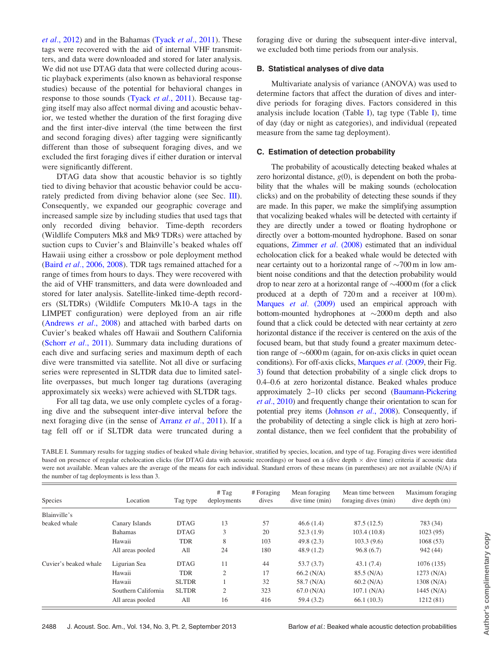<span id="page-2-0"></span>et al.[, 2012\)](#page-9-0) and in the Bahamas [\(Tyack](#page-10-0) et al., 2011). These tags were recovered with the aid of internal VHF transmitters, and data were downloaded and stored for later analysis. We did not use DTAG data that were collected during acoustic playback experiments (also known as behavioral response studies) because of the potential for behavioral changes in response to those sounds (Tyack et al.[, 2011](#page-10-0)). Because tagging itself may also affect normal diving and acoustic behavior, we tested whether the duration of the first foraging dive and the first inter-dive interval (the time between the first and second foraging dives) after tagging were significantly different than those of subsequent foraging dives, and we excluded the first foraging dives if either duration or interval were significantly different.

DTAG data show that acoustic behavior is so tightly tied to diving behavior that acoustic behavior could be accu-rately predicted from diving behavior alone (see Sec. [III](#page-4-0)). Consequently, we expanded our geographic coverage and increased sample size by including studies that used tags that only recorded diving behavior. Time-depth recorders (Wildlife Computers Mk8 and Mk9 TDRs) were attached by suction cups to Cuvier's and Blainville's beaked whales off Hawaii using either a crossbow or pole deployment method (Baird et al.[, 2006, 2008](#page-9-0)). TDR tags remained attached for a range of times from hours to days. They were recovered with the aid of VHF transmitters, and data were downloaded and stored for later analysis. Satellite-linked time-depth recorders (SLTDRs) (Wildlife Computers Mk10-A tags in the LIMPET configuration) were deployed from an air rifle ([Andrews](#page-9-0) et al., 2008) and attached with barbed darts on Cuvier's beaked whales off Hawaii and Southern California ([Schorr](#page-10-0) *et al.*, 2011). Summary data including durations of each dive and surfacing series and maximum depth of each dive were transmitted via satellite. Not all dive or surfacing series were represented in SLTDR data due to limited satellite overpasses, but much longer tag durations (averaging approximately six weeks) were achieved with SLTDR tags.

For all tag data, we use only complete cycles of a foraging dive and the subsequent inter-dive interval before the next foraging dive (in the sense of [Arranz](#page-9-0) et al., 2011). If a tag fell off or if SLTDR data were truncated during a foraging dive or during the subsequent inter-dive interval, we excluded both time periods from our analysis.

#### B. Statistical analyses of dive data

Multivariate analysis of variance (ANOVA) was used to determine factors that affect the duration of dives and interdive periods for foraging dives. Factors considered in this analysis include location (Table I), tag type (Table I), time of day (day or night as categories), and individual (repeated measure from the same tag deployment).

#### C. Estimation of detection probability

The probability of acoustically detecting beaked whales at zero horizontal distance,  $g(0)$ , is dependent on both the probability that the whales will be making sounds (echolocation clicks) and on the probability of detecting these sounds if they are made. In this paper, we make the simplifying assumption that vocalizing beaked whales will be detected with certainty if they are directly under a towed or floating hydrophone or directly over a bottom-mounted hydrophone. Based on sonar equations, [Zimmer](#page-10-0) et al. (2008) estimated that an individual echolocation click for a beaked whale would be detected with near certainty out to a horizontal range of  $\sim$ 700 m in low ambient noise conditions and that the detection probability would drop to near zero at a horizontal range of  $\sim$ 4000 m (for a click produced at a depth of 720 m and a receiver at 100 m). [Marques](#page-10-0) et al. (2009) used an empirical approach with bottom-mounted hydrophones at  $\sim$  2000 m depth and also found that a click could be detected with near certainty at zero horizontal distance if the receiver is centered on the axis of the focused beam, but that study found a greater maximum detection range of  $\sim 6000 \text{ m}$  (again, for on-axis clicks in quiet ocean conditions). For off-axis clicks, [Marques](#page-10-0) et al. (2009, their Fig. [3\)](#page-4-0) found that detection probability of a single click drops to 0.4–0.6 at zero horizontal distance. Beaked whales produce approximately 2–10 clicks per second [\(Baumann-Pickering](#page-9-0) et al.[, 2010\)](#page-9-0) and frequently change their orientation to scan for potential prey items ([Johnson](#page-10-0) et al., 2008). Consequently, if the probability of detecting a single click is high at zero horizontal distance, then we feel confident that the probability of

TABLE I. Summary results for tagging studies of beaked whale diving behavior, stratified by species, location, and type of tag. Foraging dives were identified based on presence of regular echolocation clicks (for DTAG data with acoustic recordings) or based on a (dive depth  $\times$  dive time) criteria if acoustic data were not available. Mean values are the average of the means for each individual. Standard errors of these means (in parentheses) are not available (N/A) if the number of tag deployments is less than 3.

| Species               | Location            | Tag type     | # Tag<br>deployments | # Foraging<br>dives | Mean foraging<br>dive time (min) | Mean time between<br>foraging dives (min) | Maximum foraging<br>dive depth (m) |
|-----------------------|---------------------|--------------|----------------------|---------------------|----------------------------------|-------------------------------------------|------------------------------------|
| Blainville's          |                     |              |                      |                     |                                  |                                           |                                    |
| beaked whale          | Canary Islands      | <b>DTAG</b>  | 13                   | 57                  | 46.6(1.4)                        | 87.5(12.5)                                | 783 (34)                           |
|                       | <b>Bahamas</b>      | <b>DTAG</b>  | 3                    | 20                  | 52.3(1.9)                        | 103.4(10.8)                               | 1023(95)                           |
|                       | Hawaii              | <b>TDR</b>   | 8                    | 103                 | 49.8(2.3)                        | 103.3(9.6)                                | 1068(53)                           |
|                       | All areas pooled    | All          | 24                   | 180                 | 48.9(1.2)                        | 96.8(6.7)                                 | 942 (44)                           |
| Cuvier's beaked whale | Ligurian Sea        | <b>DTAG</b>  | 11                   | 44                  | 53.7(3.7)                        | 43.1(7.4)                                 | 1076 (135)                         |
|                       | Hawaii              | <b>TDR</b>   | 2                    | 17                  | $66.2$ (N/A)                     | 85.5(N/A)                                 | 1273 (N/A)                         |
|                       | Hawaii              | <b>SLTDR</b> |                      | 32                  | 58.7 $(N/A)$                     | $60.2$ (N/A)                              | 1308 (N/A)                         |
|                       | Southern California | <b>SLTDR</b> | 2                    | 323                 | $67.0$ (N/A)                     | 107.1(N/A)                                | 1445 $(N/A)$                       |
|                       | All areas pooled    | All          | 16                   | 416                 | 59.4(3.2)                        | 66.1(10.3)                                | 1212(81)                           |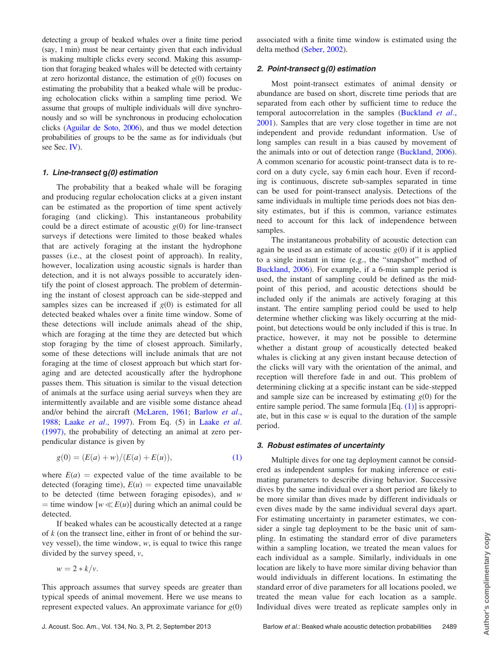detecting a group of beaked whales over a finite time period (say, 1 min) must be near certainty given that each individual is making multiple clicks every second. Making this assumption that foraging beaked whales will be detected with certainty at zero horizontal distance, the estimation of  $g(0)$  focuses on estimating the probability that a beaked whale will be producing echolocation clicks within a sampling time period. We assume that groups of multiple individuals will dive synchronously and so will be synchronous in producing echolocation clicks [\(Aguilar de Soto, 2006\)](#page-9-0), and thus we model detection probabilities of groups to be the same as for individuals (but see Sec. [IV](#page-6-0)).

#### 1. Line-transect g(0) estimation

The probability that a beaked whale will be foraging and producing regular echolocation clicks at a given instant can be estimated as the proportion of time spent actively foraging (and clicking). This instantaneous probability could be a direct estimate of acoustic  $g(0)$  for line-transect surveys if detections were limited to those beaked whales that are actively foraging at the instant the hydrophone passes (i.e., at the closest point of approach). In reality, however, localization using acoustic signals is harder than detection, and it is not always possible to accurately identify the point of closest approach. The problem of determining the instant of closest approach can be side-stepped and samples sizes can be increased if  $g(0)$  is estimated for all detected beaked whales over a finite time window. Some of these detections will include animals ahead of the ship, which are foraging at the time they are detected but which stop foraging by the time of closest approach. Similarly, some of these detections will include animals that are not foraging at the time of closest approach but which start foraging and are detected acoustically after the hydrophone passes them. This situation is similar to the visual detection of animals at the surface using aerial surveys when they are intermittently available and are visible some distance ahead and/or behind the aircraft [\(McLaren, 1961](#page-10-0); [Barlow](#page-9-0) et al., [1988;](#page-9-0) Laake et al.[, 1997](#page-10-0)). From Eq. (5) in [Laake](#page-10-0) et al. [\(1997\)](#page-10-0), the probability of detecting an animal at zero perpendicular distance is given by

$$
g(0) = (E(a) + w)/(E(a) + E(u)),
$$
\n(1)

where  $E(a)$  = expected value of the time available to be detected (foraging time),  $E(u)$  = expected time unavailable to be detected (time between foraging episodes), and  $w$  $=$  time window  $[w \ll E(u)]$  during which an animal could be detected.

If beaked whales can be acoustically detected at a range of  $k$  (on the transect line, either in front of or behind the survey vessel), the time window,  $w$ , is equal to twice this range divided by the survey speed,  $v$ ,

$$
w=2*k/v.
$$

This approach assumes that survey speeds are greater than typical speeds of animal movement. Here we use means to represent expected values. An approximate variance for  $g(0)$  associated with a finite time window is estimated using the delta method [\(Seber, 2002\)](#page-10-0).

#### 2. Point-transect g(0) estimation

Most point-transect estimates of animal density or abundance are based on short, discrete time periods that are separated from each other by sufficient time to reduce the temporal autocorrelation in the samples [\(Buckland](#page-9-0) et al., [2001](#page-9-0)). Samples that are very close together in time are not independent and provide redundant information. Use of long samples can result in a bias caused by movement of the animals into or out of detection range ([Buckland, 2006\)](#page-9-0). A common scenario for acoustic point-transect data is to record on a duty cycle, say 6 min each hour. Even if recording is continuous, discrete sub-samples separated in time can be used for point-transect analysis. Detections of the same individuals in multiple time periods does not bias density estimates, but if this is common, variance estimates need to account for this lack of independence between samples.

The instantaneous probability of acoustic detection can again be used as an estimate of acoustic  $g(0)$  if it is applied to a single instant in time (e.g., the "snapshot" method of [Buckland, 2006\)](#page-9-0). For example, if a 6-min sample period is used, the instant of sampling could be defined as the midpoint of this period, and acoustic detections should be included only if the animals are actively foraging at this instant. The entire sampling period could be used to help determine whether clicking was likely occurring at the midpoint, but detections would be only included if this is true. In practice, however, it may not be possible to determine whether a distant group of acoustically detected beaked whales is clicking at any given instant because detection of the clicks will vary with the orientation of the animal, and reception will therefore fade in and out. This problem of determining clicking at a specific instant can be side-stepped and sample size can be increased by estimating  $g(0)$  for the entire sample period. The same formula [Eq. (1)] is appropriate, but in this case  $w$  is equal to the duration of the sample period.

#### 3. Robust estimates of uncertainty

Multiple dives for one tag deployment cannot be considered as independent samples for making inference or estimating parameters to describe diving behavior. Successive dives by the same individual over a short period are likely to be more similar than dives made by different individuals or even dives made by the same individual several days apart. For estimating uncertainty in parameter estimates, we consider a single tag deployment to be the basic unit of sampling. In estimating the standard error of dive parameters within a sampling location, we treated the mean values for each individual as a sample. Similarly, individuals in one location are likely to have more similar diving behavior than would individuals in different locations. In estimating the standard error of dive parameters for all locations pooled, we treated the mean value for each location as a sample. Individual dives were treated as replicate samples only in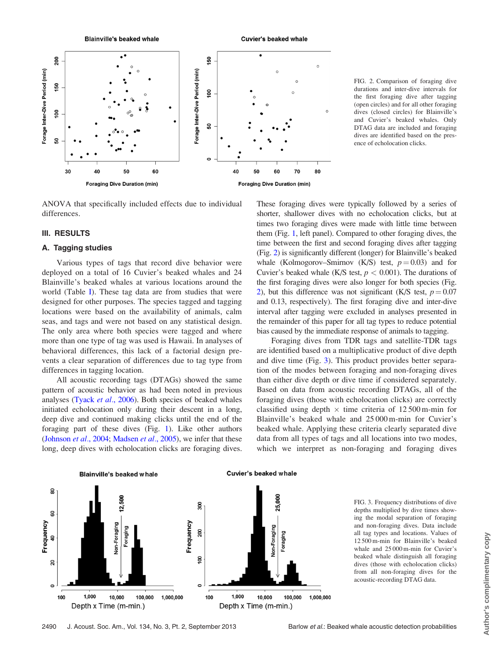<span id="page-4-0"></span>

FIG. 2. Comparison of foraging dive durations and inter-dive intervals for the first foraging dive after tagging (open circles) and for all other foraging dives (closed circles) for Blainville's and Cuvier's beaked whales. Only DTAG data are included and foraging dives are identified based on the presence of echolocation clicks.

ANOVA that specifically included effects due to individual differences.

#### III. RESULTS

#### A. Tagging studies

Various types of tags that record dive behavior were deployed on a total of 16 Cuvier's beaked whales and 24 Blainville's beaked whales at various locations around the world (Table [I](#page-2-0)). These tag data are from studies that were designed for other purposes. The species tagged and tagging locations were based on the availability of animals, calm seas, and tags and were not based on any statistical design. The only area where both species were tagged and where more than one type of tag was used is Hawaii. In analyses of behavioral differences, this lack of a factorial design prevents a clear separation of differences due to tag type from differences in tagging location.

All acoustic recording tags (DTAGs) showed the same pattern of acoustic behavior as had been noted in previous analyses (Tyack et al.[, 2006\)](#page-10-0). Both species of beaked whales initiated echolocation only during their descent in a long, deep dive and continued making clicks until the end of the foraging part of these dives (Fig. [1\)](#page-1-0). Like other authors ([Johnson](#page-10-0) et al., 2004; [Madsen](#page-10-0) et al., 2005), we infer that these long, deep dives with echolocation clicks are foraging dives. These foraging dives were typically followed by a series of shorter, shallower dives with no echolocation clicks, but at times two foraging dives were made with little time between them (Fig. [1,](#page-1-0) left panel). Compared to other foraging dives, the time between the first and second foraging dives after tagging (Fig. 2) is significantly different (longer) for Blainville's beaked whale (Kolmogorov–Smirnov (K/S) test,  $p = 0.03$ ) and for Cuvier's beaked whale (K/S test,  $p < 0.001$ ). The durations of the first foraging dives were also longer for both species (Fig. 2), but this difference was not significant (K/S test,  $p = 0.07$ ) and 0.13, respectively). The first foraging dive and inter-dive interval after tagging were excluded in analyses presented in the remainder of this paper for all tag types to reduce potential bias caused by the immediate response of animals to tagging.

Foraging dives from TDR tags and satellite-TDR tags are identified based on a multiplicative product of dive depth and dive time (Fig. 3). This product provides better separation of the modes between foraging and non-foraging dives than either dive depth or dive time if considered separately. Based on data from acoustic recording DTAGs, all of the foraging dives (those with echolocation clicks) are correctly classified using depth  $\times$  time criteria of 12500 m-min for Blainville's beaked whale and 25 000 m-min for Cuvier's beaked whale. Applying these criteria clearly separated dive data from all types of tags and all locations into two modes, which we interpret as non-foraging and foraging dives



FIG. 3. Frequency distributions of dive depths multiplied by dive times showing the modal separation of foraging and non-foraging dives. Data include all tag types and locations. Values of 12 500 m-min for Blainville's beaked whale and 25 000 m-min for Cuvier's beaked whale distinguish all foraging dives (those with echolocation clicks) from all non-foraging dives for the acoustic-recording DTAG data.

# **Author's complimentary copy**Author's complimentary copy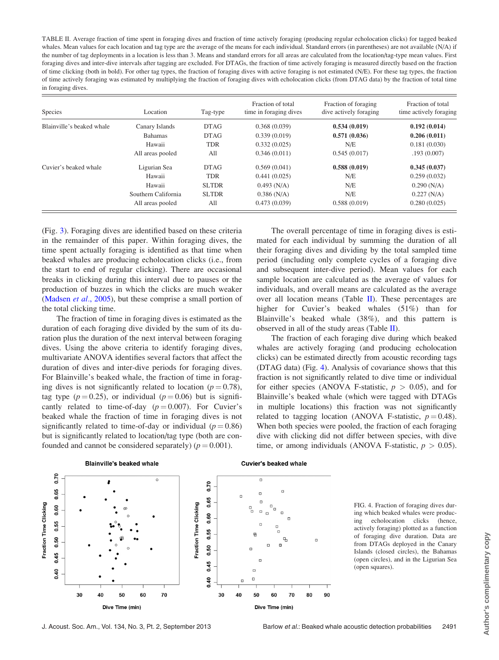<span id="page-5-0"></span>TABLE II. Average fraction of time spent in foraging dives and fraction of time actively foraging (producing regular echolocation clicks) for tagged beaked whales. Mean values for each location and tag type are the average of the means for each individual. Standard errors (in parentheses) are not available (N/A) if the number of tag deployments in a location is less than 3. Means and standard errors for all areas are calculated from the location/tag-type mean values. First foraging dives and inter-dive intervals after tagging are excluded. For DTAGs, the fraction of time actively foraging is measured directly based on the fraction of time clicking (both in bold). For other tag types, the fraction of foraging dives with active foraging is not estimated (N/E). For these tag types, the fraction of time actively foraging was estimated by multiplying the fraction of foraging dives with echolocation clicks (from DTAG data) by the fraction of total time in foraging dives.

| Species                   | Location            | Tag-type     | Fraction of total<br>time in foraging dives | Fraction of foraging<br>dive actively foraging | Fraction of total<br>time actively foraging |
|---------------------------|---------------------|--------------|---------------------------------------------|------------------------------------------------|---------------------------------------------|
| Blainville's beaked whale | Canary Islands      | <b>DTAG</b>  | 0.368(0.039)                                | 0.534(0.019)                                   | 0.192(0.014)                                |
|                           | <b>Bahamas</b>      | <b>DTAG</b>  | 0.339(0.019)                                | 0.571(0.036)                                   | 0.206(0.011)                                |
|                           | Hawaii              | <b>TDR</b>   | 0.332(0.025)                                | N/E                                            | 0.181(0.030)                                |
|                           | All areas pooled    | All          | 0.346(0.011)                                | 0.545(0.017)                                   | .193(0.007)                                 |
| Cuvier's beaked whale     | Ligurian Sea        | <b>DTAG</b>  | 0.569(0.041)                                | 0.588(0.019)                                   | 0.345(0.037)                                |
|                           | Hawaii              | <b>TDR</b>   | 0.441(0.025)                                | N/E                                            | 0.259(0.032)                                |
|                           | Hawaii              | <b>SLTDR</b> | $0.493$ (N/A)                               | N/E                                            | 0.290(N/A)                                  |
|                           | Southern California | <b>SLTDR</b> | $0.386$ (N/A)                               | N/E                                            | 0.227(N/A)                                  |
|                           | All areas pooled    | All          | 0.473(0.039)                                | 0.588(0.019)                                   | 0.280(0.025)                                |

(Fig. [3\)](#page-4-0). Foraging dives are identified based on these criteria in the remainder of this paper. Within foraging dives, the time spent actually foraging is identified as that time when beaked whales are producing echolocation clicks (i.e., from the start to end of regular clicking). There are occasional breaks in clicking during this interval due to pauses or the production of buzzes in which the clicks are much weaker ([Madsen](#page-10-0) *et al.*, 2005), but these comprise a small portion of the total clicking time.

The fraction of time in foraging dives is estimated as the duration of each foraging dive divided by the sum of its duration plus the duration of the next interval between foraging dives. Using the above criteria to identify foraging dives, multivariate ANOVA identifies several factors that affect the duration of dives and inter-dive periods for foraging dives. For Blainville's beaked whale, the fraction of time in foraging dives is not significantly related to location ( $p = 0.78$ ), tag type ( $p = 0.25$ ), or individual ( $p = 0.06$ ) but is significantly related to time-of-day  $(p = 0.007)$ . For Cuvier's beaked whale the fraction of time in foraging dives is not significantly related to time-of-day or individual ( $p = 0.86$ ) but is significantly related to location/tag type (both are confounded and cannot be considered separately) ( $p = 0.001$ ).

The overall percentage of time in foraging dives is estimated for each individual by summing the duration of all their foraging dives and dividing by the total sampled time period (including only complete cycles of a foraging dive and subsequent inter-dive period). Mean values for each sample location are calculated as the average of values for individuals, and overall means are calculated as the average over all location means (Table II). These percentages are higher for Cuvier's beaked whales (51%) than for Blainville's beaked whale (38%), and this pattern is observed in all of the study areas (Table II).

The fraction of each foraging dive during which beaked whales are actively foraging (and producing echolocation clicks) can be estimated directly from acoustic recording tags (DTAG data) (Fig. 4). Analysis of covariance shows that this fraction is not significantly related to dive time or individual for either species (ANOVA F-statistic,  $p > 0.05$ ), and for Blainville's beaked whale (which were tagged with DTAGs in multiple locations) this fraction was not significantly related to tagging location (ANOVA F-statistic,  $p = 0.48$ ). When both species were pooled, the fraction of each foraging dive with clicking did not differ between species, with dive time, or among individuals (ANOVA F-statistic,  $p > 0.05$ ).



FIG. 4. Fraction of foraging dives during which beaked whales were producing echolocation clicks (hence, actively foraging) plotted as a function of foraging dive duration. Data are from DTAGs deployed in the Canary Islands (closed circles), the Bahamas (open circles), and in the Ligurian Sea (open squares).

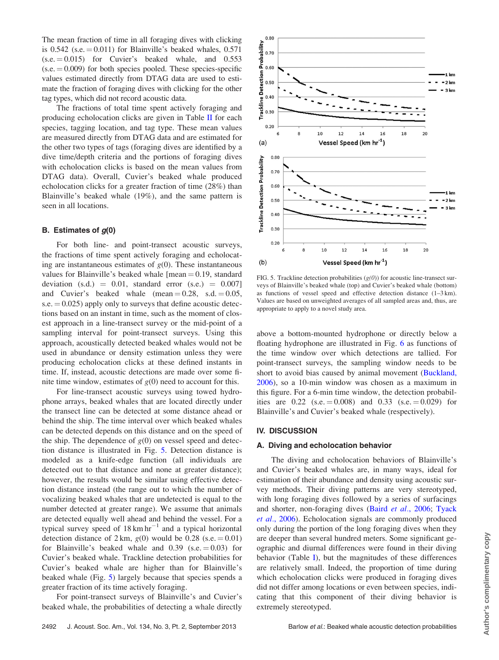<span id="page-6-0"></span>The mean fraction of time in all foraging dives with clicking is  $0.542$  (s.e.  $= 0.011$ ) for Blainville's beaked whales,  $0.571$  $(s.e. = 0.015)$  for Cuvier's beaked whale, and 0.553  $(s.e. = 0.009)$  for both species pooled. These species-specific values estimated directly from DTAG data are used to estimate the fraction of foraging dives with clicking for the other tag types, which did not record acoustic data.

The fractions of total time spent actively foraging and producing echolocation clicks are given in Table [II](#page-5-0) for each species, tagging location, and tag type. These mean values are measured directly from DTAG data and are estimated for the other two types of tags (foraging dives are identified by a dive time/depth criteria and the portions of foraging dives with echolocation clicks is based on the mean values from DTAG data). Overall, Cuvier's beaked whale produced echolocation clicks for a greater fraction of time (28%) than Blainville's beaked whale (19%), and the same pattern is seen in all locations.

#### B. Estimates of  $g(0)$

For both line- and point-transect acoustic surveys, the fractions of time spent actively foraging and echolocating are instantaneous estimates of  $g(0)$ . These instantaneous values for Blainville's beaked whale  $[mean = 0.19, standard]$ deviation  $(s.d.) = 0.01$ , standard error  $(s.e.) = 0.007$ ] and Cuvier's beaked whale (mean  $= 0.28$ , s.d.  $= 0.05$ ,  $s.e. = 0.025$ ) apply only to surveys that define acoustic detections based on an instant in time, such as the moment of closest approach in a line-transect survey or the mid-point of a sampling interval for point-transect surveys. Using this approach, acoustically detected beaked whales would not be used in abundance or density estimation unless they were producing echolocation clicks at these defined instants in time. If, instead, acoustic detections are made over some finite time window, estimates of  $g(0)$  need to account for this.

For line-transect acoustic surveys using towed hydrophone arrays, beaked whales that are located directly under the transect line can be detected at some distance ahead or behind the ship. The time interval over which beaked whales can be detected depends on this distance and on the speed of the ship. The dependence of  $g(0)$  on vessel speed and detection distance is illustrated in Fig. 5. Detection distance is modeled as a knife-edge function (all individuals are detected out to that distance and none at greater distance); however, the results would be similar using effective detection distance instead (the range out to which the number of vocalizing beaked whales that are undetected is equal to the number detected at greater range). We assume that animals are detected equally well ahead and behind the vessel. For a typical survey speed of  $18 \text{ km hr}^{-1}$  and a typical horizontal detection distance of  $2 \text{ km}$ ,  $g(0)$  would be 0.28 (s.e. = 0.01) for Blainville's beaked whale and  $0.39$  (s.e.  $= 0.03$ ) for Cuvier's beaked whale. Trackline detection probabilities for Cuvier's beaked whale are higher than for Blainville's beaked whale (Fig. 5) largely because that species spends a greater fraction of its time actively foraging.

For point-transect surveys of Blainville's and Cuvier's beaked whale, the probabilities of detecting a whale directly



FIG. 5. Trackline detection probabilities  $(g(0))$  for acoustic line-transect surveys of Blainville's beaked whale (top) and Cuvier's beaked whale (bottom) as functions of vessel speed and effective detection distance (1–3 km). Values are based on unweighted averages of all sampled areas and, thus, are appropriate to apply to a novel study area.

above a bottom-mounted hydrophone or directly below a floating hydrophone are illustrated in Fig. [6](#page-7-0) as functions of the time window over which detections are tallied. For point-transect surveys, the sampling window needs to be short to avoid bias caused by animal movement ([Buckland,](#page-9-0) [2006\)](#page-9-0), so a 10-min window was chosen as a maximum in this figure. For a 6-min time window, the detection probabilities are  $0.22$  (s.e.  $= 0.008$ ) and  $0.33$  (s.e.  $= 0.029$ ) for Blainville's and Cuvier's beaked whale (respectively).

#### IV. DISCUSSION

#### A. Diving and echolocation behavior

The diving and echolocation behaviors of Blainville's and Cuvier's beaked whales are, in many ways, ideal for estimation of their abundance and density using acoustic survey methods. Their diving patterns are very stereotyped, with long foraging dives followed by a series of surfacings and shorter, non-foraging dives (Baird et al.[, 2006](#page-9-0); [Tyack](#page-10-0) et al.[, 2006\)](#page-10-0). Echolocation signals are commonly produced only during the portion of the long foraging dives when they are deeper than several hundred meters. Some significant geographic and diurnal differences were found in their diving behavior (Table [I](#page-2-0)), but the magnitudes of these differences are relatively small. Indeed, the proportion of time during which echolocation clicks were produced in foraging dives did not differ among locations or even between species, indicating that this component of their diving behavior is extremely stereotyped.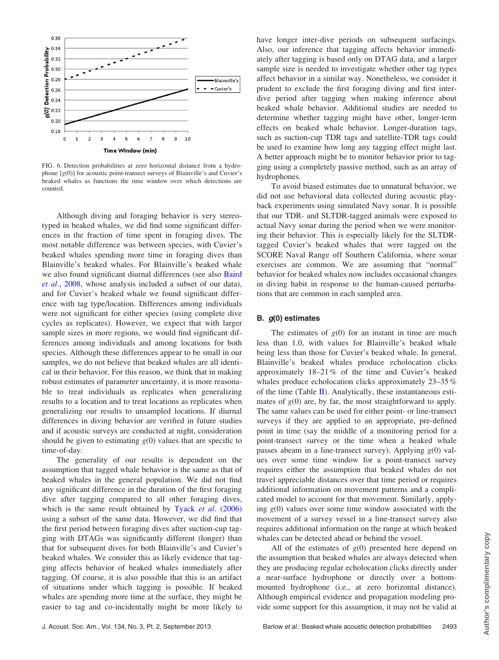<span id="page-7-0"></span>

FIG. 6. Detection probabilities at zero horizontal distance from a hydrophone  $[g(0)]$  for acoustic point-transect surveys of Blainville's and Cuvier's beaked whales as functions the time window over which detections are counted.

Although diving and foraging behavior is very stereotyped in beaked whales, we did find some significant differences in the fraction of time spent in foraging dives. The most notable difference was between species, with Cuvier's beaked whales spending more time in foraging dives than Blainville's beaked whales. For Blainville's beaked whale we also found significant diurnal differences (see also [Baird](#page-9-0) et al.[, 2008,](#page-9-0) whose analysis included a subset of our data), and for Cuvier's beaked whale we found significant difference with tag type/location. Differences among individuals were not significant for either species (using complete dive cycles as replicates). However, we expect that with larger sample sizes in more regions, we would find significant differences among individuals and among locations for both species. Although these differences appear to be small in our samples, we do not believe that beaked whales are all identical in their behavior. For this reason, we think that in making robust estimates of parameter uncertainty, it is more reasonable to treat individuals as replicates when generalizing results to a location and to treat locations as replicates when generalizing our results to unsampled locations. If diurnal differences in diving behavior are verified in future studies and if acoustic surveys are conducted at night, consideration should be given to estimating  $g(0)$  values that are specific to time-of-day.

The generality of our results is dependent on the assumption that tagged whale behavior is the same as that of beaked whales in the general population. We did not find any significant difference in the duration of the first foraging dive after tagging compared to all other foraging dives, which is the same result obtained by Tyack  $et \ al. (2006)$  $et \ al. (2006)$ using a subset of the same data. However, we did find that the first period between foraging dives after suction-cup tagging with DTAGs was significantly different (longer) than that for subsequent dives for both Blainville's and Cuvier's beaked whales. We consider this as likely evidence that tagging affects behavior of beaked whales immediately after tagging. Of course, it is also possible that this is an artifact of situations under which tagging is possible. If beaked whales are spending more time at the surface, they might be easier to tag and co-incidentally might be more likely to have longer inter-dive periods on subsequent surfacings. Also, our inference that tagging affects behavior immediately after tagging is based only on DTAG data, and a larger sample size is needed to investigate whether other tag types affect behavior in a similar way. Nonetheless, we consider it prudent to exclude the first foraging diving and first interdive period after tagging when making inference about beaked whale behavior. Additional studies are needed to determine whether tagging might have other, longer-term effects on beaked whale behavior. Longer-duration tags, such as suction-cup TDR tags and satellite-TDR tags could be used to examine how long any tagging effect might last. A better approach might be to monitor behavior prior to tagging using a completely passive method, such as an array of hydrophones.

To avoid biased estimates due to unnatural behavior, we did not use behavioral data collected during acoustic playback experiments using simulated Navy sonar. It is possible that our TDR- and SLTDR-tagged animals were exposed to actual Navy sonar during the period when we were monitoring their behavior. This is especially likely for the SLTDRtagged Cuvier's beaked whales that were tagged on the SCORE Naval Range off Southern California, where sonar exercises are common. We are assuming that "normal" behavior for beaked whales now includes occasional changes in diving habit in response to the human-caused perturbations that are common in each sampled area.

#### B.  $g(0)$  estimates

The estimates of  $g(0)$  for an instant in time are much less than 1.0, with values for Blainville's beaked whale being less than those for Cuvier's beaked whale. In general, Blainville's beaked whales produce echolocation clicks approximately 18–21 % of the time and Cuvier's beaked whales produce echolocation clicks approximately 23–35 % of the time (Table  $II$ ). Analytically, these instantaneous estimates of  $g(0)$  are, by far, the most straightforward to apply. The same values can be used for either point- or line-transect surveys if they are applied to an appropriate, pre-defined point in time (say the middle of a monitoring period for a point-transect survey or the time when a beaked whale passes abeam in a line-transect survey). Applying  $g(0)$  values over some time window for a point-transect survey requires either the assumption that beaked whales do not travel appreciable distances over that time period or requires additional information on movement patterns and a complicated model to account for that movement. Similarly, applying  $g(0)$  values over some time window associated with the movement of a survey vessel in a line-transect survey also requires additional information on the range at which beaked whales can be detected ahead or behind the vessel.

All of the estimates of  $g(0)$  presented here depend on the assumption that beaked whales are always detected when they are producing regular echolocation clicks directly under a near-surface hydrophone or directly over a bottommounted hydrophone (i.e., at zero horizontal distance). Although empirical evidence and propagation modeling provide some support for this assumption, it may not be valid at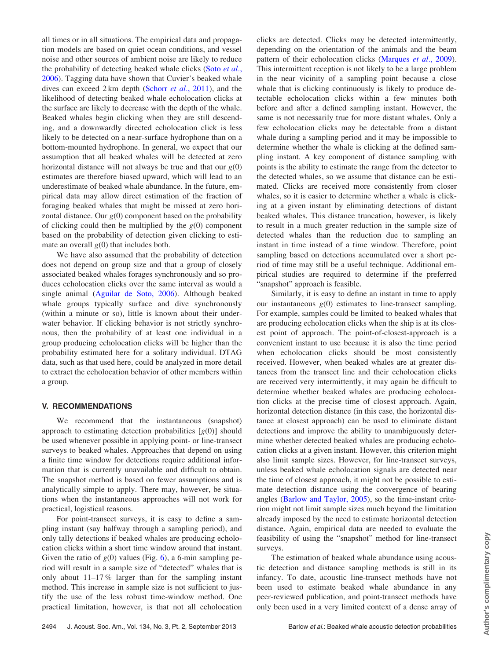all times or in all situations. The empirical data and propagation models are based on quiet ocean conditions, and vessel noise and other sources of ambient noise are likely to reduce the probability of detecting beaked whale clicks (Soto [et al.](#page-10-0), [2006\)](#page-10-0). Tagging data have shown that Cuvier's beaked whale dives can exceed 2 km depth (Schorr et al.[, 2011\)](#page-10-0), and the likelihood of detecting beaked whale echolocation clicks at the surface are likely to decrease with the depth of the whale. Beaked whales begin clicking when they are still descending, and a downwardly directed echolocation click is less likely to be detected on a near-surface hydrophone than on a bottom-mounted hydrophone. In general, we expect that our assumption that all beaked whales will be detected at zero horizontal distance will not always be true and that our  $g(0)$ estimates are therefore biased upward, which will lead to an underestimate of beaked whale abundance. In the future, empirical data may allow direct estimation of the fraction of foraging beaked whales that might be missed at zero horizontal distance. Our  $g(0)$  component based on the probability of clicking could then be multiplied by the  $g(0)$  component based on the probability of detection given clicking to estimate an overall  $g(0)$  that includes both.

We have also assumed that the probability of detection does not depend on group size and that a group of closely associated beaked whales forages synchronously and so produces echolocation clicks over the same interval as would a single animal [\(Aguilar de Soto, 2006](#page-9-0)). Although beaked whale groups typically surface and dive synchronously (within a minute or so), little is known about their underwater behavior. If clicking behavior is not strictly synchronous, then the probability of at least one individual in a group producing echolocation clicks will be higher than the probability estimated here for a solitary individual. DTAG data, such as that used here, could be analyzed in more detail to extract the echolocation behavior of other members within a group.

#### V. RECOMMENDATIONS

We recommend that the instantaneous (snapshot) approach to estimating detection probabilities  $[g(0)]$  should be used whenever possible in applying point- or line-transect surveys to beaked whales. Approaches that depend on using a finite time window for detections require additional information that is currently unavailable and difficult to obtain. The snapshot method is based on fewer assumptions and is analytically simple to apply. There may, however, be situations when the instantaneous approaches will not work for practical, logistical reasons.

For point-transect surveys, it is easy to define a sampling instant (say halfway through a sampling period), and only tally detections if beaked whales are producing echolocation clicks within a short time window around that instant. Given the ratio of  $g(0)$  values (Fig. [6\)](#page-7-0), a 6-min sampling period will result in a sample size of "detected" whales that is only about 11–17 % larger than for the sampling instant method. This increase in sample size is not sufficient to justify the use of the less robust time-window method. One practical limitation, however, is that not all echolocation clicks are detected. Clicks may be detected intermittently, depending on the orientation of the animals and the beam pattern of their echolocation clicks ([Marques](#page-10-0) *et al.*, 2009). This intermittent reception is not likely to be a large problem in the near vicinity of a sampling point because a close whale that is clicking continuously is likely to produce detectable echolocation clicks within a few minutes both before and after a defined sampling instant. However, the same is not necessarily true for more distant whales. Only a few echolocation clicks may be detectable from a distant whale during a sampling period and it may be impossible to determine whether the whale is clicking at the defined sampling instant. A key component of distance sampling with points is the ability to estimate the range from the detector to the detected whales, so we assume that distance can be estimated. Clicks are received more consistently from closer whales, so it is easier to determine whether a whale is clicking at a given instant by eliminating detections of distant beaked whales. This distance truncation, however, is likely to result in a much greater reduction in the sample size of detected whales than the reduction due to sampling an instant in time instead of a time window. Therefore, point sampling based on detections accumulated over a short period of time may still be a useful technique. Additional empirical studies are required to determine if the preferred "snapshot" approach is feasible.

Similarly, it is easy to define an instant in time to apply our instantaneous  $g(0)$  estimates to line-transect sampling. For example, samples could be limited to beaked whales that are producing echolocation clicks when the ship is at its closest point of approach. The point-of-closest-approach is a convenient instant to use because it is also the time period when echolocation clicks should be most consistently received. However, when beaked whales are at greater distances from the transect line and their echolocation clicks are received very intermittently, it may again be difficult to determine whether beaked whales are producing echolocation clicks at the precise time of closest approach. Again, horizontal detection distance (in this case, the horizontal distance at closest approach) can be used to eliminate distant detections and improve the ability to unambiguously determine whether detected beaked whales are producing echolocation clicks at a given instant. However, this criterion might also limit sample sizes. However, for line-transect surveys, unless beaked whale echolocation signals are detected near the time of closest approach, it might not be possible to estimate detection distance using the convergence of bearing angles [\(Barlow and Taylor, 2005\)](#page-9-0), so the time-instant criterion might not limit sample sizes much beyond the limitation already imposed by the need to estimate horizontal detection distance. Again, empirical data are needed to evaluate the feasibility of using the "snapshot" method for line-transect surveys.

The estimation of beaked whale abundance using acoustic detection and distance sampling methods is still in its infancy. To date, acoustic line-transect methods have not been used to estimate beaked whale abundance in any peer-reviewed publication, and point-transect methods have only been used in a very limited context of a dense array of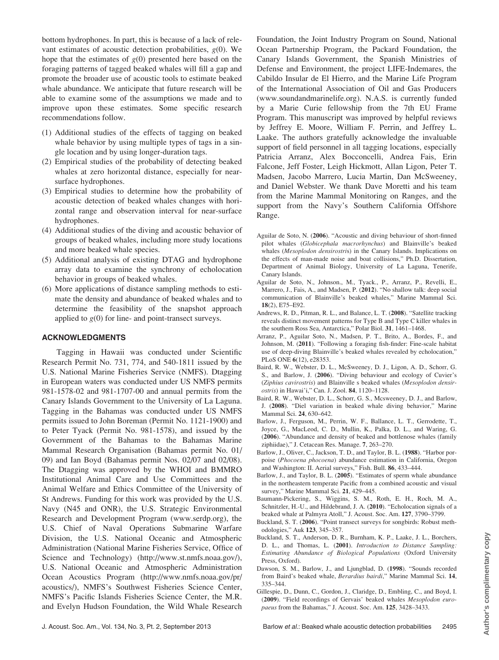<span id="page-9-0"></span>bottom hydrophones. In part, this is because of a lack of relevant estimates of acoustic detection probabilities,  $g(0)$ . We hope that the estimates of  $g(0)$  presented here based on the foraging patterns of tagged beaked whales will fill a gap and promote the broader use of acoustic tools to estimate beaked whale abundance. We anticipate that future research will be able to examine some of the assumptions we made and to improve upon these estimates. Some specific research recommendations follow.

- (1) Additional studies of the effects of tagging on beaked whale behavior by using multiple types of tags in a single location and by using longer-duration tags.
- (2) Empirical studies of the probability of detecting beaked whales at zero horizontal distance, especially for nearsurface hydrophones.
- (3) Empirical studies to determine how the probability of acoustic detection of beaked whales changes with horizontal range and observation interval for near-surface hydrophones.
- (4) Additional studies of the diving and acoustic behavior of groups of beaked whales, including more study locations and more beaked whale species.
- (5) Additional analysis of existing DTAG and hydrophone array data to examine the synchrony of echolocation behavior in groups of beaked whales.
- (6) More applications of distance sampling methods to estimate the density and abundance of beaked whales and to determine the feasibility of the snapshot approach applied to  $g(0)$  for line- and point-transect surveys.

#### ACKNOWLEDGMENTS

Tagging in Hawaii was conducted under Scientific Research Permit No. 731, 774, and 540-1811 issued by the U.S. National Marine Fisheries Service (NMFS). Dtagging in European waters was conducted under US NMFS permits 981-1578-02 and 981-1707-00 and annual permits from the Canary Islands Government to the University of La Laguna. Tagging in the Bahamas was conducted under US NMFS permits issued to John Boreman (Permit No. 1121-1900) and to Peter Tyack (Permit No. 981-1578), and issued by the Government of the Bahamas to the Bahamas Marine Mammal Research Organisation (Bahamas permit No. 01/ 09) and Ian Boyd (Bahamas permit Nos. 02/07 and 02/08). The Dtagging was approved by the WHOI and BMMRO Institutional Animal Care and Use Committees and the Animal Welfare and Ethics Committee of the University of St Andrews. Funding for this work was provided by the U.S. Navy (N45 and ONR), the U.S. Strategic Environmental Research and Development Program (www.serdp.org), the U.S. Chief of Naval Operations Submarine Warfare Division, the U.S. National Oceanic and Atmospheric Administration (National Marine Fisheries Service, Office of Science and Technology) (http://www.st.nmfs.noaa.gov/), U.S. National Oceanic and Atmospheric Administration Ocean Acoustics Program (http://www.nmfs.noaa.gov/pr/ acoustics/), NMFS's Southwest Fisheries Science Center, NMFS's Pacific Islands Fisheries Science Center, the M.R. and Evelyn Hudson Foundation, the Wild Whale Research

Foundation, the Joint Industry Program on Sound, National Ocean Partnership Program, the Packard Foundation, the Canary Islands Government, the Spanish Ministries of Defense and Environment, the project LIFE-Indemares, the Cabildo Insular de El Hierro, and the Marine Life Program of the International Association of Oil and Gas Producers (www.soundandmarinelife.org). N.A.S. is currently funded by a Marie Curie fellowship from the 7th EU Frame Program. This manuscript was improved by helpful reviews by Jeffrey E. Moore, William F. Perrin, and Jeffrey L. Laake. The authors gratefully acknowledge the invaluable support of field personnel in all tagging locations, especially Patricia Arranz, Alex Bocconcelli, Andrea Fais, Erin Falcone, Jeff Foster, Leigh Hickmott, Allan Ligon, Peter T. Madsen, Jacobo Marrero, Lucia Martin, Dan McSweeney, and Daniel Webster. We thank Dave Moretti and his team from the Marine Mammal Monitoring on Ranges, and the support from the Navy's Southern California Offshore Range.

- Aguilar de Soto, N. (2006). "Acoustic and diving behaviour of short-finned pilot whales (Globicephala macrorhynchus) and Blainville's beaked whales (Mesoplodon densirostris) in the Canary Islands. Implications on the effects of man-made noise and boat collisions," Ph.D. Dissertation, Department of Animal Biology, University of La Laguna, Tenerife, Canary Islands.
- Aguilar de Soto, N., Johnson., M., Tyack., P., Arranz, P., Revelli, E., Marrero, J., Fais, A., and Madsen, P. (2012). "No shallow talk: deep social communication of Blainville's beaked whales," Marine Mammal Sci. 18(2), E75–E92.
- Andrews, R. D., Pitman, R. L., and Balance, L. T. (2008). "Satellite tracking reveals distinct movement patterns for Type B and Type C killer whales in the southern Ross Sea, Antarctica," Polar Biol. 31, 1461–1468.
- Arranz, P., Aguilar Soto, N., Madsen, P. T., Brito, A., Bordes, F., and Johnson, M. (2011). "Following a foraging fish-finder: Fine-scale habitat use of deep-diving Blainville's beaked whales revealed by echolocation," PLoS ONE 6(12), e28353.
- Baird, R. W., Webster, D. L., McSweeney, D. J., Ligon, A. D., Schorr, G. S., and Barlow, J. (2006). "Diving behaviour and ecology of Cuvier's (Ziphius cavirostris) and Blainville s beaked whales (Mesoplodon densirostris) in Hawai'i," Can. J. Zool. 84, 1120–1128.
- Baird, R. W., Webster, D. L., Schorr, G. S., Mcsweeney, D. J., and Barlow, J. (2008). "Diel variation in beaked whale diving behavior," Marine Mammal Sci. 24, 630–642.
- Barlow, J., Ferguson, M., Perrin, W. F., Ballance, L. T., Gerrodette, T., Joyce, G., MacLeod, C. D., Mullin, K., Palka, D. L., and Waring, G. (2006). "Abundance and density of beaked and bottlenose whales (family ziphiidae)," J. Cetacean Res. Manage. 7, 263–270.
- Barlow, J., Oliver, C., Jackson, T. D., and Taylor, B. L. (1988). "Harbor porpoise (Phocoena phocoena) abundance estimation in California, Oregon and Washington: II. Aerial surveys," Fish. Bull. 86, 433–444.
- Barlow, J., and Taylor, B. L. (2005). "Estimates of sperm whale abundance in the northeastern temperate Pacific from a combined acoustic and visual survey," Marine Mammal Sci. 21, 429–445.
- Baumann-Pickering, S., Wiggins, S. M., Roth, E. H., Roch, M. A., Schnitzler, H.-U., and Hildebrand, J. A. (2010). "Echolocation signals of a beaked whale at Palmyra Atoll," J. Acoust. Soc. Am. 127, 3790–3799.
- Buckland, S. T. (2006). "Point transect surveys for songbirds: Robust methodologies," Auk 123, 345–357.
- Buckland, S. T., Anderson, D. R., Burnham, K. P., Laake, J. L., Borchers, D. L., and Thomas, L. (2001). Introduction to Distance Sampling: Estimating Abundance of Biological Populations (Oxford University Press, Oxford).
- Dawson, S. M., Barlow, J., and Ljungblad, D. (1998). "Sounds recorded from Baird's beaked whale, Berardius bairdi," Marine Mammal Sci. 14, 335–344.
- Gillespie, D., Dunn, C., Gordon, J., Claridge, D., Embling, C., and Boyd, I. (2009). "Field recordings of Gervais' beaked whales Mesoplodon europaeus from the Bahamas," J. Acoust. Soc. Am. 125, 3428–3433.